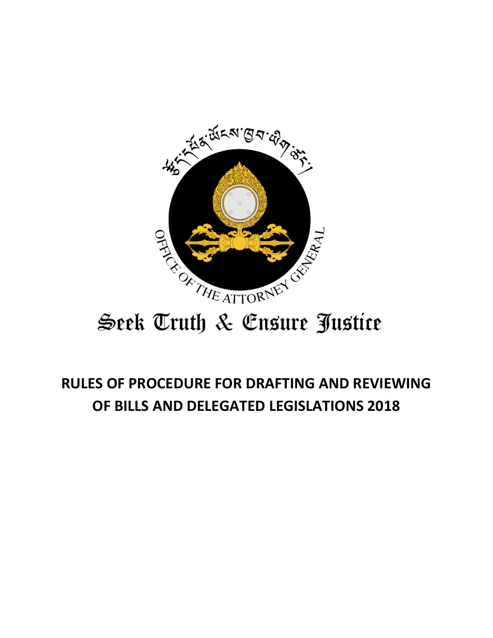

# Seek Truth & Ensure Justice

## **RULES OF PROCEDURE FOR DRAFTING AND REVIEWING OF BILLS AND DELEGATED LEGISLATIONS 2018**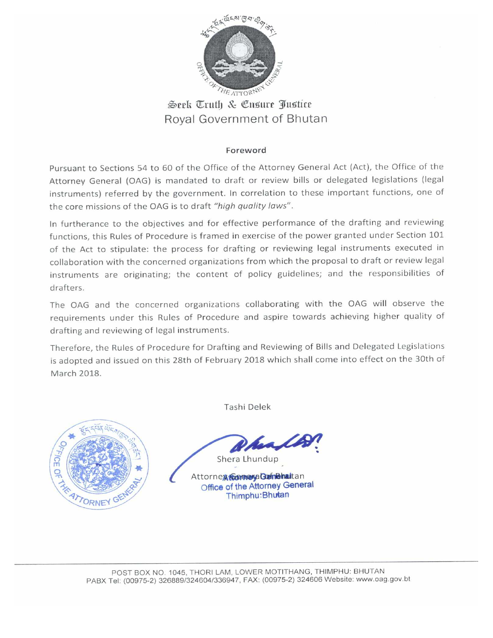

Seek Truth & Ensure Justice Royal Government of Bhutan

#### Foreword

Pursuant to Sections 54 to 60 of the Office of the Attorney General Act (Act), the Office of the Attorney General (OAG) is mandated to draft or review bills or delegated legislations (legal instruments) referred by the government. In correlation to these important functions, one of the core missions of the OAG is to draft "high quality laws".

In furtherance to the objectives and for effective performance of the drafting and reviewing functions, this Rules of Procedure is framed in exercise of the power granted under Section 101 of the Act to stipulate: the process for drafting or reviewing legal instruments executed in collaboration with the concerned organizations from which the proposal to draft or review legal instruments are originating; the content of policy guidelines; and the responsibilities of drafters.

The OAG and the concerned organizations collaborating with the OAG will observe the requirements under this Rules of Procedure and aspire towards achieving higher quality of drafting and reviewing of legal instruments.

Therefore, the Rules of Procedure for Drafting and Reviewing of Bills and Delegated Legislations is adopted and issued on this 28th of February 2018 which shall come into effect on the 30th of March 2018.



Tashi Delek

Shera Lhundup

Attorney Comeya Gemenatian Office of the Attorney General Thimphu: Bhutan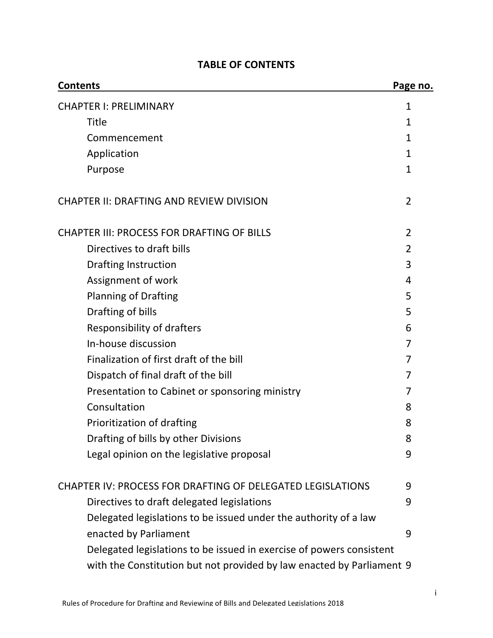| <b>Contents</b>                                                       | Page no.       |
|-----------------------------------------------------------------------|----------------|
| <b>CHAPTER I: PRELIMINARY</b>                                         | 1              |
| <b>Title</b>                                                          | $\mathbf 1$    |
| Commencement                                                          | $\mathbf{1}$   |
| Application                                                           | 1              |
| Purpose                                                               | $\mathbf{1}$   |
| <b>CHAPTER II: DRAFTING AND REVIEW DIVISION</b>                       | $\overline{2}$ |
| <b>CHAPTER III: PROCESS FOR DRAFTING OF BILLS</b>                     | $\overline{2}$ |
| Directives to draft bills                                             | 2              |
| <b>Drafting Instruction</b>                                           | 3              |
| Assignment of work                                                    | 4              |
| <b>Planning of Drafting</b>                                           | 5              |
| Drafting of bills                                                     | 5              |
| <b>Responsibility of drafters</b>                                     | 6              |
| In-house discussion                                                   | 7              |
| Finalization of first draft of the bill                               | 7              |
| Dispatch of final draft of the bill                                   | 7              |
| Presentation to Cabinet or sponsoring ministry                        | 7              |
| Consultation                                                          | 8              |
| Prioritization of drafting                                            | 8              |
| Drafting of bills by other Divisions                                  | 8              |
| Legal opinion on the legislative proposal                             | 9              |
| <b>CHAPTER IV: PROCESS FOR DRAFTING OF DELEGATED LEGISLATIONS</b>     | 9              |
| Directives to draft delegated legislations                            | 9              |
| Delegated legislations to be issued under the authority of a law      |                |
| enacted by Parliament                                                 | 9              |
| Delegated legislations to be issued in exercise of powers consistent  |                |
| with the Constitution but not provided by law enacted by Parliament 9 |                |
|                                                                       |                |

## **TABLE OF CONTENTS**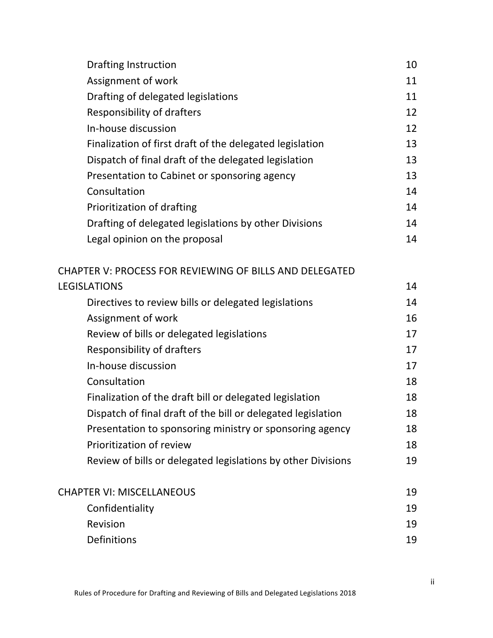| <b>Drafting Instruction</b>                                    | 10 |
|----------------------------------------------------------------|----|
| Assignment of work                                             | 11 |
| Drafting of delegated legislations                             | 11 |
| <b>Responsibility of drafters</b>                              | 12 |
| In-house discussion                                            | 12 |
| Finalization of first draft of the delegated legislation       | 13 |
| Dispatch of final draft of the delegated legislation           | 13 |
| Presentation to Cabinet or sponsoring agency                   | 13 |
| Consultation                                                   | 14 |
| Prioritization of drafting                                     | 14 |
| Drafting of delegated legislations by other Divisions          | 14 |
| Legal opinion on the proposal                                  | 14 |
| <b>CHAPTER V: PROCESS FOR REVIEWING OF BILLS AND DELEGATED</b> |    |
| <b>LEGISLATIONS</b>                                            | 14 |
| Directives to review bills or delegated legislations           | 14 |
| Assignment of work                                             | 16 |
| Review of bills or delegated legislations                      | 17 |
| <b>Responsibility of drafters</b>                              | 17 |
| In-house discussion                                            | 17 |
| Consultation                                                   | 18 |
| Finalization of the draft bill or delegated legislation        | 18 |
| Dispatch of final draft of the bill or delegated legislation   | 18 |
| Presentation to sponsoring ministry or sponsoring agency       | 18 |
| Prioritization of review                                       | 18 |
| Review of bills or delegated legislations by other Divisions   | 19 |
| <b>CHAPTER VI: MISCELLANEOUS</b>                               | 19 |
| Confidentiality                                                | 19 |
| Revision                                                       | 19 |
| Definitions                                                    | 19 |
|                                                                |    |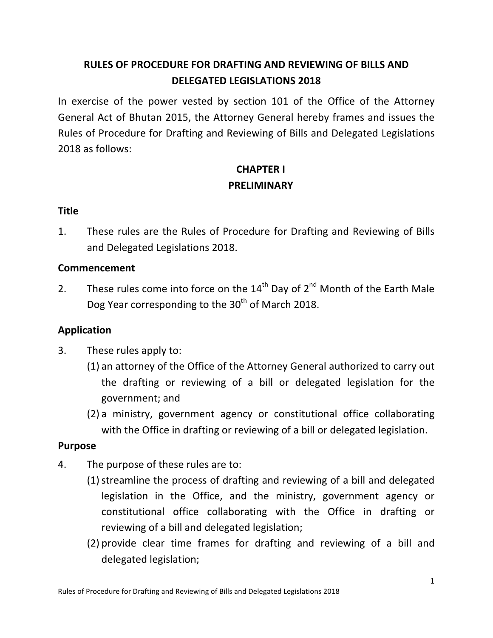## **RULES OF PROCEDURE FOR DRAFTING AND REVIEWING OF BILLS AND DELEGATED LEGISLATIONS 2018**

In exercise of the power vested by section 101 of the Office of the Attorney General Act of Bhutan 2015, the Attorney General hereby frames and issues the Rules of Procedure for Drafting and Reviewing of Bills and Delegated Legislations 2018 as follows:

## **CHAPTER I PRELIMINARY**

#### **Title**

1. These rules are the Rules of Procedure for Drafting and Reviewing of Bills and Delegated Legislations 2018.

#### **Commencement**

2. These rules come into force on the  $14^{th}$  Day of  $2^{nd}$  Month of the Earth Male Dog Year corresponding to the 30<sup>th</sup> of March 2018.

#### **Application**

- 3. These rules apply to:
	- (1) an attorney of the Office of the Attorney General authorized to carry out the drafting or reviewing of a bill or delegated legislation for the government; and
	- (2) a ministry, government agency or constitutional office collaborating with the Office in drafting or reviewing of a bill or delegated legislation.

#### **Purpose**

- 4. The purpose of these rules are to:
	- (1) streamline the process of drafting and reviewing of a bill and delegated legislation in the Office, and the ministry, government agency or constitutional office collaborating with the Office in drafting or reviewing of a bill and delegated legislation;
	- (2) provide clear time frames for drafting and reviewing of a bill and delegated legislation;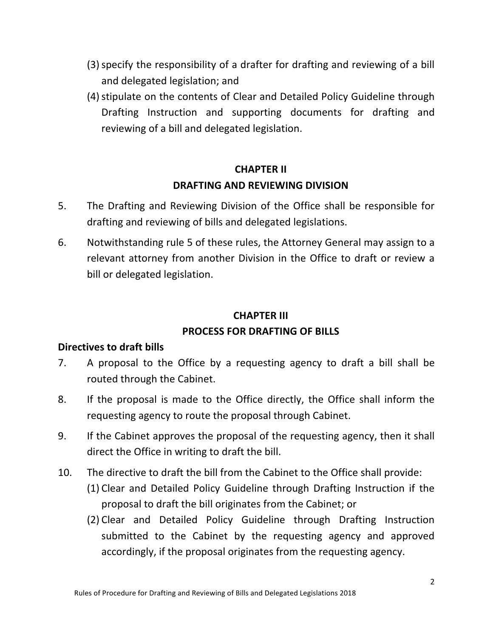- (3) specify the responsibility of a drafter for drafting and reviewing of a bill and delegated legislation; and
- (4) stipulate on the contents of Clear and Detailed Policy Guideline through Drafting Instruction and supporting documents for drafting and reviewing of a bill and delegated legislation.

## **CHAPTER II DRAFTING AND REVIEWING DIVISION**

- 5. The Drafting and Reviewing Division of the Office shall be responsible for drafting and reviewing of bills and delegated legislations.
- 6. Notwithstanding rule 5 of these rules, the Attorney General may assign to a relevant attorney from another Division in the Office to draft or review a bill or delegated legislation.

#### **CHAPTER III**

#### **PROCESS FOR DRAFTING OF BILLS**

#### **Directives to draft bills**

- 7. A proposal to the Office by a requesting agency to draft a bill shall be routed through the Cabinet.
- 8. If the proposal is made to the Office directly, the Office shall inform the requesting agency to route the proposal through Cabinet.
- 9. If the Cabinet approves the proposal of the requesting agency, then it shall direct the Office in writing to draft the bill.
- 10. The directive to draft the bill from the Cabinet to the Office shall provide:
	- (1) Clear and Detailed Policy Guideline through Drafting Instruction if the proposal to draft the bill originates from the Cabinet; or
	- (2) Clear and Detailed Policy Guideline through Drafting Instruction submitted to the Cabinet by the requesting agency and approved accordingly, if the proposal originates from the requesting agency.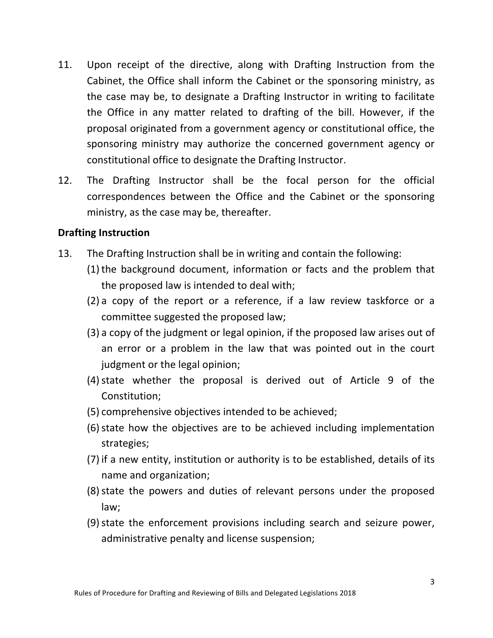- 11. Upon receipt of the directive, along with Drafting Instruction from the Cabinet, the Office shall inform the Cabinet or the sponsoring ministry, as the case may be, to designate a Drafting Instructor in writing to facilitate the Office in any matter related to drafting of the bill. However, if the proposal originated from a government agency or constitutional office, the sponsoring ministry may authorize the concerned government agency or constitutional office to designate the Drafting Instructor.
- 12. The Drafting Instructor shall be the focal person for the official correspondences between the Office and the Cabinet or the sponsoring ministry, as the case may be, thereafter.

#### **Drafting Instruction**

- 13. The Drafting Instruction shall be in writing and contain the following:
	- $(1)$  the background document, information or facts and the problem that the proposed law is intended to deal with;
	- $(2)$  a copy of the report or a reference, if a law review taskforce or a committee suggested the proposed law;
	- $(3)$  a copy of the judgment or legal opinion, if the proposed law arises out of an error or a problem in the law that was pointed out in the court judgment or the legal opinion;
	- $(4)$  state whether the proposal is derived out of Article 9 of the Constitution;
	- (5) comprehensive objectives intended to be achieved;
	- (6) state how the objectives are to be achieved including implementation strategies;
	- (7) if a new entity, institution or authority is to be established, details of its name and organization;
	- (8) state the powers and duties of relevant persons under the proposed law;
	- (9) state the enforcement provisions including search and seizure power, administrative penalty and license suspension;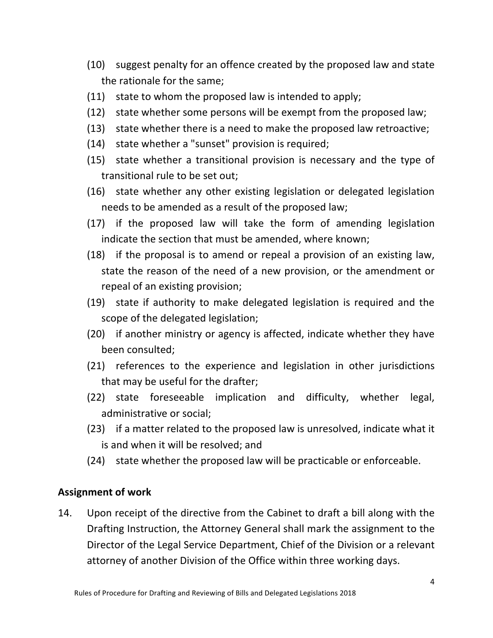- (10) suggest penalty for an offence created by the proposed law and state the rationale for the same;
- $(11)$  state to whom the proposed law is intended to apply;
- $(12)$  state whether some persons will be exempt from the proposed law;
- $(13)$  state whether there is a need to make the proposed law retroactive;
- (14) state whether a "sunset" provision is required;
- $(15)$  state whether a transitional provision is necessary and the type of transitional rule to be set out;
- $(16)$  state whether any other existing legislation or delegated legislation needs to be amended as a result of the proposed law;
- $(17)$  if the proposed law will take the form of amending legislation indicate the section that must be amended, where known;
- $(18)$  if the proposal is to amend or repeal a provision of an existing law, state the reason of the need of a new provision, or the amendment or repeal of an existing provision;
- $(19)$  state if authority to make delegated legislation is required and the scope of the delegated legislation;
- (20) if another ministry or agency is affected, indicate whether they have been consulted;
- (21) references to the experience and legislation in other jurisdictions that may be useful for the drafter;
- (22) state foreseeable implication and difficulty, whether legal, administrative or social;
- $(23)$  if a matter related to the proposed law is unresolved, indicate what it is and when it will be resolved; and
- (24) state whether the proposed law will be practicable or enforceable.

#### **Assignment of work**

14. Upon receipt of the directive from the Cabinet to draft a bill along with the Drafting Instruction, the Attorney General shall mark the assignment to the Director of the Legal Service Department, Chief of the Division or a relevant attorney of another Division of the Office within three working days.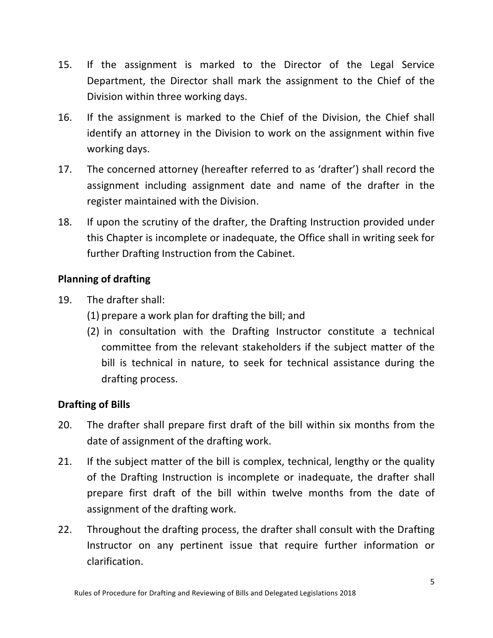- 15. If the assignment is marked to the Director of the Legal Service Department, the Director shall mark the assignment to the Chief of the Division within three working days.
- 16. If the assignment is marked to the Chief of the Division, the Chief shall identify an attorney in the Division to work on the assignment within five working days.
- 17. The concerned attorney (hereafter referred to as 'drafter') shall record the assignment including assignment date and name of the drafter in the register maintained with the Division.
- 18. If upon the scrutiny of the drafter, the Drafting Instruction provided under this Chapter is incomplete or inadequate, the Office shall in writing seek for further Drafting Instruction from the Cabinet.

#### **Planning of drafting**

- 19. The drafter shall:
	- $(1)$  prepare a work plan for drafting the bill; and
	- (2) in consultation with the Drafting Instructor constitute a technical committee from the relevant stakeholders if the subject matter of the bill is technical in nature, to seek for technical assistance during the drafting process.

## **Drafting of Bills**

- 20. The drafter shall prepare first draft of the bill within six months from the date of assignment of the drafting work.
- 21. If the subject matter of the bill is complex, technical, lengthy or the quality of the Drafting Instruction is incomplete or inadequate, the drafter shall prepare first draft of the bill within twelve months from the date of assignment of the drafting work.
- 22. Throughout the drafting process, the drafter shall consult with the Drafting Instructor on any pertinent issue that require further information or clarification.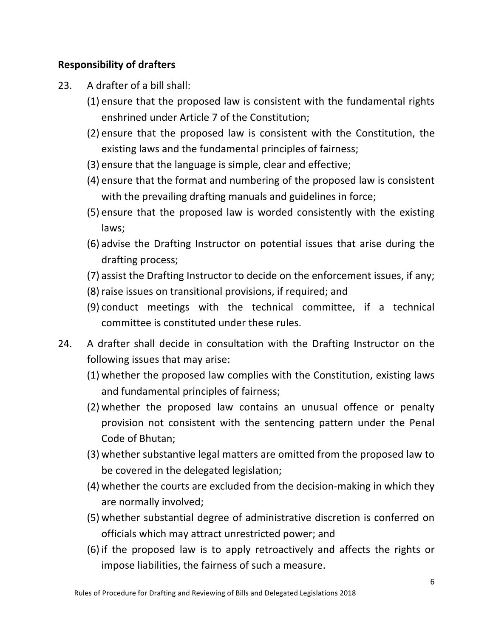#### **Responsibility of drafters**

- 23. A drafter of a bill shall:
	- (1) ensure that the proposed law is consistent with the fundamental rights enshrined under Article 7 of the Constitution;
	- $(2)$  ensure that the proposed law is consistent with the Constitution, the existing laws and the fundamental principles of fairness;
	- (3) ensure that the language is simple, clear and effective;
	- (4) ensure that the format and numbering of the proposed law is consistent with the prevailing drafting manuals and guidelines in force;
	- (5) ensure that the proposed law is worded consistently with the existing laws;
	- (6) advise the Drafting Instructor on potential issues that arise during the drafting process;
	- (7) assist the Drafting Instructor to decide on the enforcement issues, if any;
	- (8) raise issues on transitional provisions, if required; and
	- $(9)$  conduct meetings with the technical committee, if a technical committee is constituted under these rules.
- 24. A drafter shall decide in consultation with the Drafting Instructor on the following issues that may arise:
	- $(1)$  whether the proposed law complies with the Constitution, existing laws and fundamental principles of fairness;
	- (2) whether the proposed law contains an unusual offence or penalty provision not consistent with the sentencing pattern under the Penal Code of Bhutan;
	- (3) whether substantive legal matters are omitted from the proposed law to be covered in the delegated legislation;
	- (4) whether the courts are excluded from the decision-making in which they are normally involved;
	- (5) whether substantial degree of administrative discretion is conferred on officials which may attract unrestricted power; and
	- (6) if the proposed law is to apply retroactively and affects the rights or impose liabilities, the fairness of such a measure.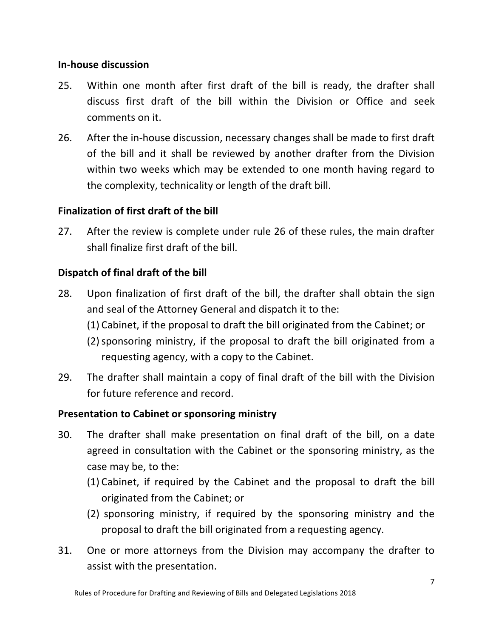#### **In-house discussion**

- 25. Within one month after first draft of the bill is ready, the drafter shall discuss first draft of the bill within the Division or Office and seek comments on it.
- 26. After the in-house discussion, necessary changes shall be made to first draft of the bill and it shall be reviewed by another drafter from the Division within two weeks which may be extended to one month having regard to the complexity, technicality or length of the draft bill.

#### **Finalization of first draft of the bill**

27. After the review is complete under rule 26 of these rules, the main drafter shall finalize first draft of the bill.

#### **Dispatch of final draft of the bill**

- 28. Upon finalization of first draft of the bill, the drafter shall obtain the sign and seal of the Attorney General and dispatch it to the:
	- (1) Cabinet, if the proposal to draft the bill originated from the Cabinet; or
	- $(2)$  sponsoring ministry, if the proposal to draft the bill originated from a requesting agency, with a copy to the Cabinet.
- 29. The drafter shall maintain a copy of final draft of the bill with the Division for future reference and record.

#### **Presentation to Cabinet or sponsoring ministry**

- 30. The drafter shall make presentation on final draft of the bill, on a date agreed in consultation with the Cabinet or the sponsoring ministry, as the case may be, to the:
	- (1) Cabinet, if required by the Cabinet and the proposal to draft the bill originated from the Cabinet; or
	- (2) sponsoring ministry, if required by the sponsoring ministry and the proposal to draft the bill originated from a requesting agency.
- 31. One or more attorneys from the Division may accompany the drafter to assist with the presentation.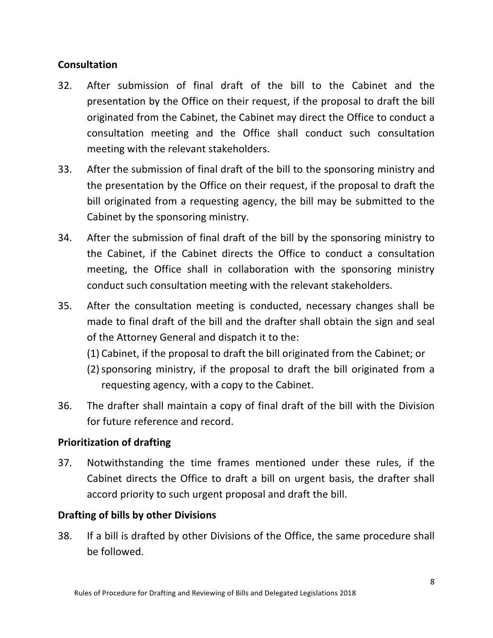#### **Consultation**

- 32. After submission of final draft of the bill to the Cabinet and the presentation by the Office on their request, if the proposal to draft the bill originated from the Cabinet, the Cabinet may direct the Office to conduct a consultation meeting and the Office shall conduct such consultation meeting with the relevant stakeholders.
- 33. After the submission of final draft of the bill to the sponsoring ministry and the presentation by the Office on their request, if the proposal to draft the bill originated from a requesting agency, the bill may be submitted to the Cabinet by the sponsoring ministry.
- 34. After the submission of final draft of the bill by the sponsoring ministry to the Cabinet, if the Cabinet directs the Office to conduct a consultation meeting, the Office shall in collaboration with the sponsoring ministry conduct such consultation meeting with the relevant stakeholders.
- 35. After the consultation meeting is conducted, necessary changes shall be made to final draft of the bill and the drafter shall obtain the sign and seal of the Attorney General and dispatch it to the:
	- (1) Cabinet, if the proposal to draft the bill originated from the Cabinet; or
	- $(2)$  sponsoring ministry, if the proposal to draft the bill originated from a requesting agency, with a copy to the Cabinet.
- 36. The drafter shall maintain a copy of final draft of the bill with the Division for future reference and record.

#### **Prioritization of drafting**

37. Notwithstanding the time frames mentioned under these rules, if the Cabinet directs the Office to draft a bill on urgent basis, the drafter shall accord priority to such urgent proposal and draft the bill.

#### **Drafting of bills by other Divisions**

38. If a bill is drafted by other Divisions of the Office, the same procedure shall be followed.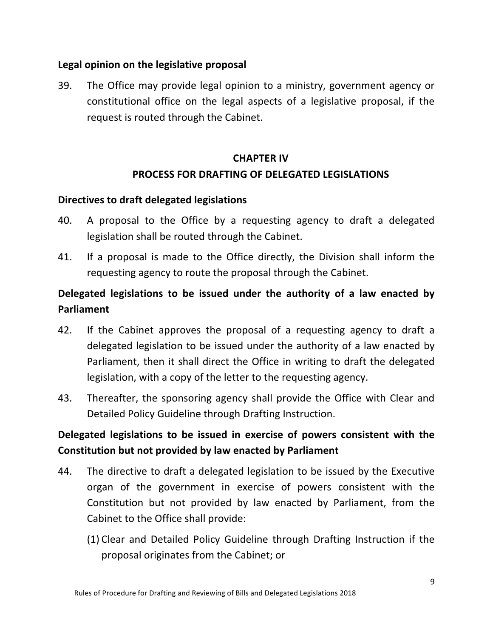#### Legal opinion on the legislative proposal

39. The Office may provide legal opinion to a ministry, government agency or constitutional office on the legal aspects of a legislative proposal, if the request is routed through the Cabinet.

## **CHAPTER IV PROCESS FOR DRAFTING OF DELEGATED LEGISLATIONS**

#### **Directives to draft delegated legislations**

- 40. A proposal to the Office by a requesting agency to draft a delegated legislation shall be routed through the Cabinet.
- 41. If a proposal is made to the Office directly, the Division shall inform the requesting agency to route the proposal through the Cabinet.

## **Delegated legislations to be issued under the authority of a law enacted by Parliament**

- 42. If the Cabinet approves the proposal of a requesting agency to draft a delegated legislation to be issued under the authority of a law enacted by Parliament, then it shall direct the Office in writing to draft the delegated legislation, with a copy of the letter to the requesting agency.
- 43. Thereafter, the sponsoring agency shall provide the Office with Clear and Detailed Policy Guideline through Drafting Instruction.

## Delegated legislations to be issued in exercise of powers consistent with the **Constitution but not provided by law enacted by Parliament**

- 44. The directive to draft a delegated legislation to be issued by the Executive organ of the government in exercise of powers consistent with the Constitution but not provided by law enacted by Parliament, from the Cabinet to the Office shall provide:
	- (1) Clear and Detailed Policy Guideline through Drafting Instruction if the proposal originates from the Cabinet; or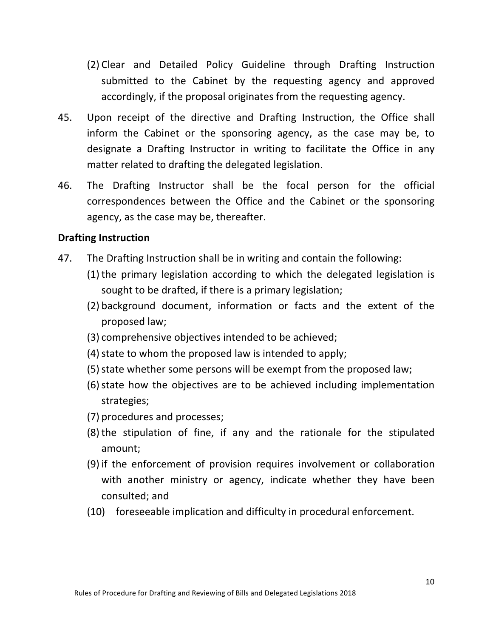- (2) Clear and Detailed Policy Guideline through Drafting Instruction submitted to the Cabinet by the requesting agency and approved accordingly, if the proposal originates from the requesting agency.
- 45. Upon receipt of the directive and Drafting Instruction, the Office shall inform the Cabinet or the sponsoring agency, as the case may be, to designate a Drafting Instructor in writing to facilitate the Office in any matter related to drafting the delegated legislation.
- 46. The Drafting Instructor shall be the focal person for the official correspondences between the Office and the Cabinet or the sponsoring agency, as the case may be, thereafter.

#### **Drafting Instruction**

- 47. The Drafting Instruction shall be in writing and contain the following:
	- $(1)$  the primary legislation according to which the delegated legislation is sought to be drafted, if there is a primary legislation;
	- (2) background document, information or facts and the extent of the proposed law;
	- (3) comprehensive objectives intended to be achieved;
	- $(4)$  state to whom the proposed law is intended to apply;
	- (5) state whether some persons will be exempt from the proposed law;
	- (6) state how the objectives are to be achieved including implementation strategies;
	- (7) procedures and processes;
	- $(8)$  the stipulation of fine, if any and the rationale for the stipulated amount;
	- (9) if the enforcement of provision requires involvement or collaboration with another ministry or agency, indicate whether they have been consulted; and
	- (10) foreseeable implication and difficulty in procedural enforcement.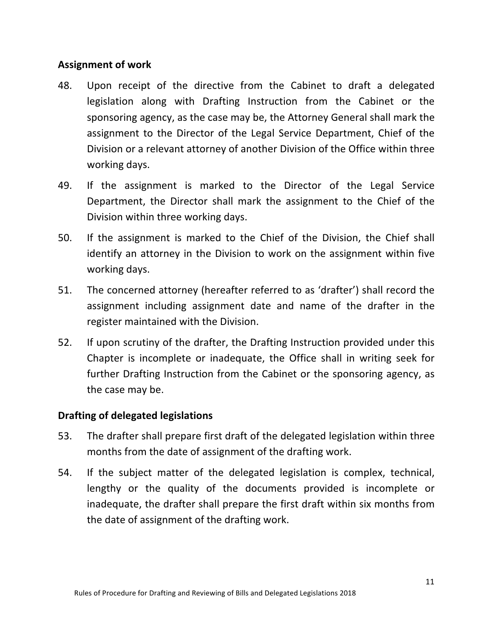#### **Assignment of work**

- 48. Upon receipt of the directive from the Cabinet to draft a delegated legislation along with Drafting Instruction from the Cabinet or the sponsoring agency, as the case may be, the Attorney General shall mark the assignment to the Director of the Legal Service Department, Chief of the Division or a relevant attorney of another Division of the Office within three working days.
- 49. If the assignment is marked to the Director of the Legal Service Department, the Director shall mark the assignment to the Chief of the Division within three working days.
- 50. If the assignment is marked to the Chief of the Division, the Chief shall identify an attorney in the Division to work on the assignment within five working days.
- 51. The concerned attorney (hereafter referred to as 'drafter') shall record the assignment including assignment date and name of the drafter in the register maintained with the Division.
- 52. If upon scrutiny of the drafter, the Drafting Instruction provided under this Chapter is incomplete or inadequate, the Office shall in writing seek for further Drafting Instruction from the Cabinet or the sponsoring agency, as the case may be.

#### **Drafting of delegated legislations**

- 53. The drafter shall prepare first draft of the delegated legislation within three months from the date of assignment of the drafting work.
- 54. If the subject matter of the delegated legislation is complex, technical, lengthy or the quality of the documents provided is incomplete or inadequate, the drafter shall prepare the first draft within six months from the date of assignment of the drafting work.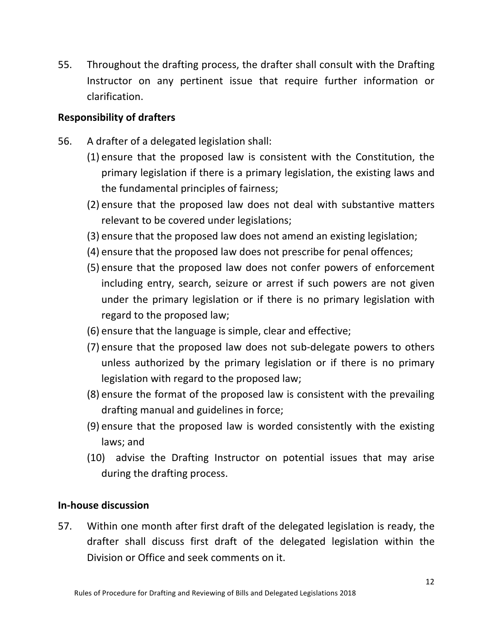55. Throughout the drafting process, the drafter shall consult with the Drafting Instructor on any pertinent issue that require further information or clarification. 

#### **Responsibility of drafters**

- 56. A drafter of a delegated legislation shall:
	- $(1)$  ensure that the proposed law is consistent with the Constitution, the primary legislation if there is a primary legislation, the existing laws and the fundamental principles of fairness;
	- (2) ensure that the proposed law does not deal with substantive matters relevant to be covered under legislations;
	- (3) ensure that the proposed law does not amend an existing legislation;
	- (4) ensure that the proposed law does not prescribe for penal offences;
	- (5) ensure that the proposed law does not confer powers of enforcement including entry, search, seizure or arrest if such powers are not given under the primary legislation or if there is no primary legislation with regard to the proposed law;
	- (6) ensure that the language is simple, clear and effective;
	- (7) ensure that the proposed law does not sub-delegate powers to others unless authorized by the primary legislation or if there is no primary legislation with regard to the proposed law;
	- (8) ensure the format of the proposed law is consistent with the prevailing drafting manual and guidelines in force;
	- (9) ensure that the proposed law is worded consistently with the existing laws; and
	- (10) advise the Drafting Instructor on potential issues that may arise during the drafting process.

#### **In-house discussion**

57. Within one month after first draft of the delegated legislation is ready, the drafter shall discuss first draft of the delegated legislation within the Division or Office and seek comments on it.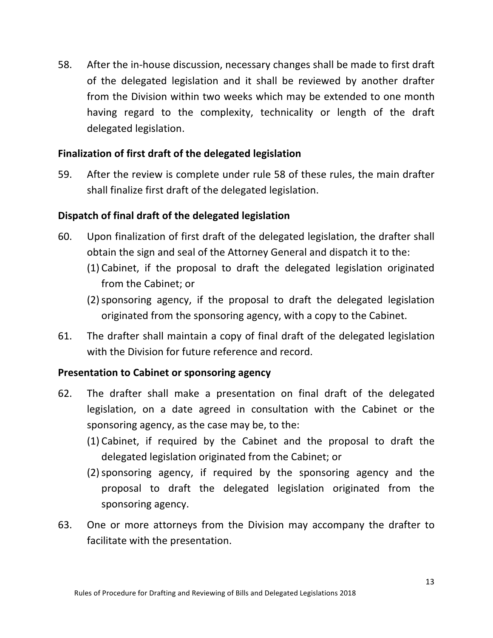58. After the in-house discussion, necessary changes shall be made to first draft of the delegated legislation and it shall be reviewed by another drafter from the Division within two weeks which may be extended to one month having regard to the complexity, technicality or length of the draft delegated legislation.

#### Finalization of first draft of the delegated legislation

59. After the review is complete under rule 58 of these rules, the main drafter shall finalize first draft of the delegated legislation.

#### **Dispatch of final draft of the delegated legislation**

- 60. Upon finalization of first draft of the delegated legislation, the drafter shall obtain the sign and seal of the Attorney General and dispatch it to the:
	- (1) Cabinet, if the proposal to draft the delegated legislation originated from the Cabinet: or
	- (2) sponsoring agency, if the proposal to draft the delegated legislation originated from the sponsoring agency, with a copy to the Cabinet.
- 61. The drafter shall maintain a copy of final draft of the delegated legislation with the Division for future reference and record.

#### **Presentation to Cabinet or sponsoring agency**

- 62. The drafter shall make a presentation on final draft of the delegated legislation, on a date agreed in consultation with the Cabinet or the sponsoring agency, as the case may be, to the:
	- (1) Cabinet, if required by the Cabinet and the proposal to draft the delegated legislation originated from the Cabinet; or
	- (2)sponsoring agency, if required by the sponsoring agency and the proposal to draft the delegated legislation originated from the sponsoring agency.
- 63. One or more attorneys from the Division may accompany the drafter to facilitate with the presentation.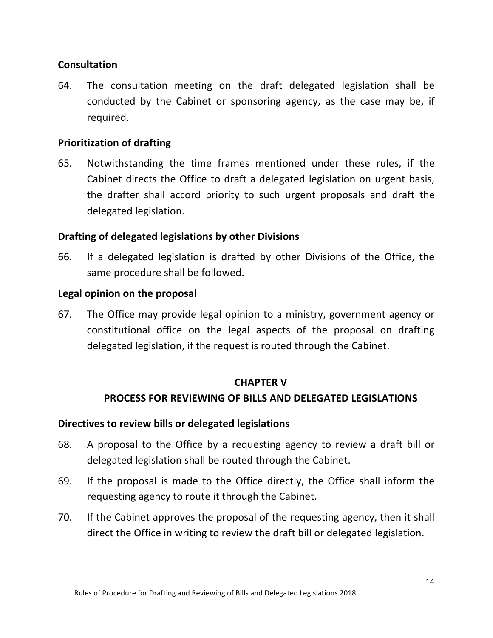#### **Consultation**

64. The consultation meeting on the draft delegated legislation shall be conducted by the Cabinet or sponsoring agency, as the case may be, if required. 

#### **Prioritization of drafting**

65. Notwithstanding the time frames mentioned under these rules, if the Cabinet directs the Office to draft a delegated legislation on urgent basis, the drafter shall accord priority to such urgent proposals and draft the delegated legislation.

#### **Drafting of delegated legislations by other Divisions**

66. If a delegated legislation is drafted by other Divisions of the Office, the same procedure shall be followed.

#### Legal opinion on the proposal

67. The Office may provide legal opinion to a ministry, government agency or constitutional office on the legal aspects of the proposal on drafting delegated legislation, if the request is routed through the Cabinet.

#### **CHAPTER V**

#### **PROCESS FOR REVIEWING OF BILLS AND DELEGATED LEGISLATIONS**

#### **Directives to review bills or delegated legislations**

- 68. A proposal to the Office by a requesting agency to review a draft bill or delegated legislation shall be routed through the Cabinet.
- 69. If the proposal is made to the Office directly, the Office shall inform the requesting agency to route it through the Cabinet.
- 70. If the Cabinet approves the proposal of the requesting agency, then it shall direct the Office in writing to review the draft bill or delegated legislation.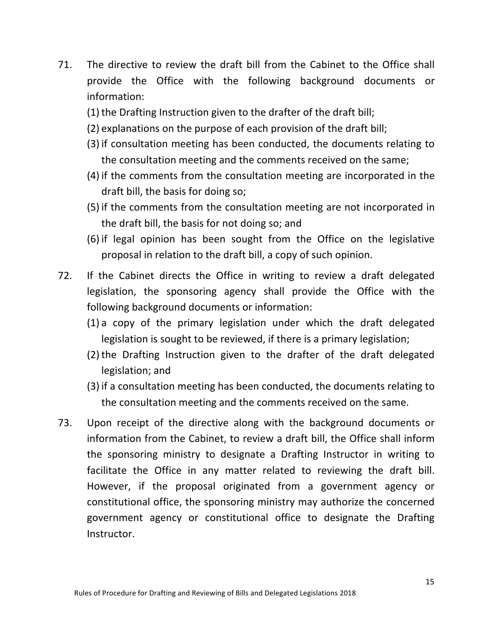- 71. The directive to review the draft bill from the Cabinet to the Office shall provide the Office with the following background documents or information:
	- $(1)$  the Drafting Instruction given to the drafter of the draft bill;
	- (2) explanations on the purpose of each provision of the draft bill;
	- (3) if consultation meeting has been conducted, the documents relating to the consultation meeting and the comments received on the same;
	- $(4)$  if the comments from the consultation meeting are incorporated in the draft bill, the basis for doing so;
	- $(5)$  if the comments from the consultation meeting are not incorporated in the draft bill, the basis for not doing so; and
	- $(6)$  if legal opinion has been sought from the Office on the legislative proposal in relation to the draft bill, a copy of such opinion.
- 72. If the Cabinet directs the Office in writing to review a draft delegated legislation, the sponsoring agency shall provide the Office with the following background documents or information:
	- $(1)$  a copy of the primary legislation under which the draft delegated legislation is sought to be reviewed, if there is a primary legislation;
	- (2) the Drafting Instruction given to the drafter of the draft delegated legislation; and
	- (3) if a consultation meeting has been conducted, the documents relating to the consultation meeting and the comments received on the same.
- 73. Upon receipt of the directive along with the background documents or information from the Cabinet, to review a draft bill, the Office shall inform the sponsoring ministry to designate a Drafting Instructor in writing to facilitate the Office in any matter related to reviewing the draft bill. However, if the proposal originated from a government agency or constitutional office, the sponsoring ministry may authorize the concerned government agency or constitutional office to designate the Drafting Instructor.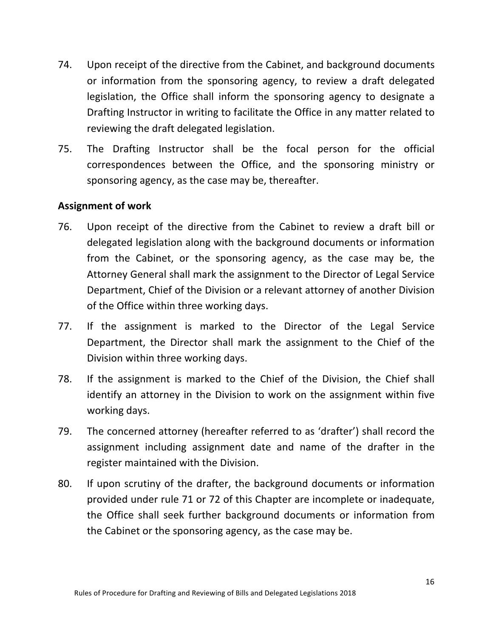- 74. Upon receipt of the directive from the Cabinet, and background documents or information from the sponsoring agency, to review a draft delegated legislation, the Office shall inform the sponsoring agency to designate a Drafting Instructor in writing to facilitate the Office in any matter related to reviewing the draft delegated legislation.
- 75. The Drafting Instructor shall be the focal person for the official correspondences between the Office, and the sponsoring ministry or sponsoring agency, as the case may be, thereafter.

#### **Assignment of work**

- 76. Upon receipt of the directive from the Cabinet to review a draft bill or delegated legislation along with the background documents or information from the Cabinet, or the sponsoring agency, as the case may be, the Attorney General shall mark the assignment to the Director of Legal Service Department, Chief of the Division or a relevant attorney of another Division of the Office within three working days.
- 77. If the assignment is marked to the Director of the Legal Service Department, the Director shall mark the assignment to the Chief of the Division within three working days.
- 78. If the assignment is marked to the Chief of the Division, the Chief shall identify an attorney in the Division to work on the assignment within five working days.
- 79. The concerned attorney (hereafter referred to as 'drafter') shall record the assignment including assignment date and name of the drafter in the register maintained with the Division.
- 80. If upon scrutiny of the drafter, the background documents or information provided under rule 71 or 72 of this Chapter are incomplete or inadequate, the Office shall seek further background documents or information from the Cabinet or the sponsoring agency, as the case may be.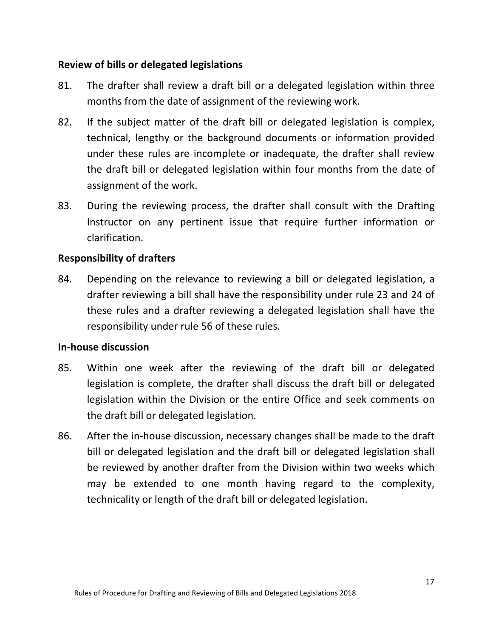#### **Review of bills or delegated legislations**

- 81. The drafter shall review a draft bill or a delegated legislation within three months from the date of assignment of the reviewing work.
- 82. If the subject matter of the draft bill or delegated legislation is complex, technical, lengthy or the background documents or information provided under these rules are incomplete or inadequate, the drafter shall review the draft bill or delegated legislation within four months from the date of assignment of the work.
- 83. During the reviewing process, the drafter shall consult with the Drafting Instructor on any pertinent issue that require further information or clarification.

#### **Responsibility of drafters**

84. Depending on the relevance to reviewing a bill or delegated legislation, a drafter reviewing a bill shall have the responsibility under rule 23 and 24 of these rules and a drafter reviewing a delegated legislation shall have the responsibility under rule 56 of these rules.

#### **In-house discussion**

- 85. Within one week after the reviewing of the draft bill or delegated legislation is complete, the drafter shall discuss the draft bill or delegated legislation within the Division or the entire Office and seek comments on the draft bill or delegated legislation.
- 86. After the in-house discussion, necessary changes shall be made to the draft bill or delegated legislation and the draft bill or delegated legislation shall be reviewed by another drafter from the Division within two weeks which may be extended to one month having regard to the complexity, technicality or length of the draft bill or delegated legislation.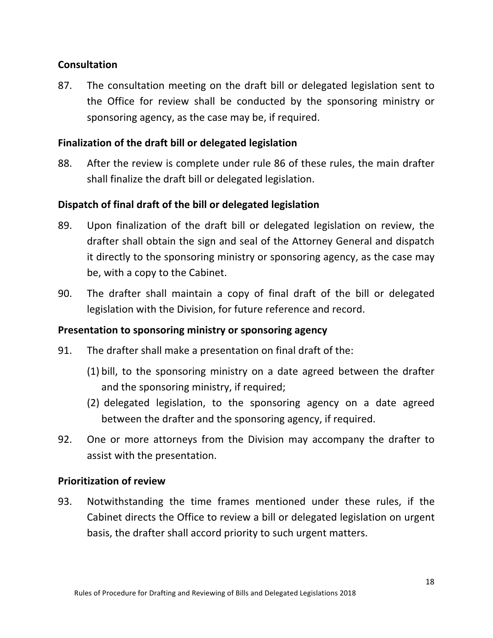#### **Consultation**

87. The consultation meeting on the draft bill or delegated legislation sent to the Office for review shall be conducted by the sponsoring ministry or sponsoring agency, as the case may be, if required.

#### Finalization of the draft bill or delegated legislation

88. After the review is complete under rule 86 of these rules, the main drafter shall finalize the draft bill or delegated legislation.

#### **Dispatch of final draft of the bill or delegated legislation**

- 89. Upon finalization of the draft bill or delegated legislation on review, the drafter shall obtain the sign and seal of the Attorney General and dispatch it directly to the sponsoring ministry or sponsoring agency, as the case may be, with a copy to the Cabinet.
- 90. The drafter shall maintain a copy of final draft of the bill or delegated legislation with the Division, for future reference and record.

#### **Presentation to sponsoring ministry or sponsoring agency**

- 91. The drafter shall make a presentation on final draft of the:
	- $(1)$  bill, to the sponsoring ministry on a date agreed between the drafter and the sponsoring ministry, if required;
	- (2) delegated legislation, to the sponsoring agency on a date agreed between the drafter and the sponsoring agency, if required.
- 92. One or more attorneys from the Division may accompany the drafter to assist with the presentation.

#### **Prioritization of review**

93. Notwithstanding the time frames mentioned under these rules, if the Cabinet directs the Office to review a bill or delegated legislation on urgent basis, the drafter shall accord priority to such urgent matters.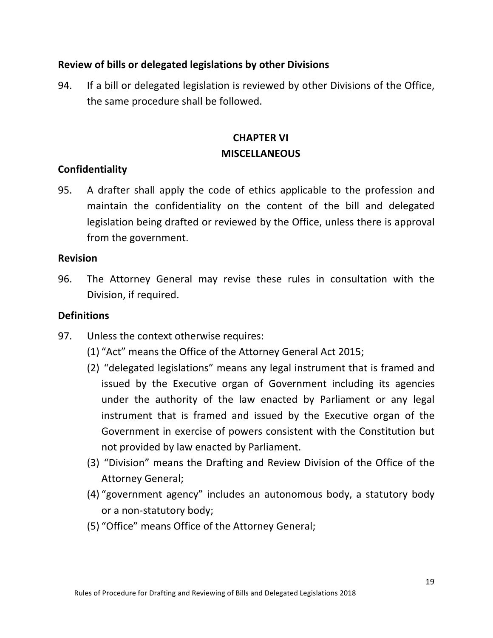#### **Review of bills or delegated legislations by other Divisions**

94. If a bill or delegated legislation is reviewed by other Divisions of the Office, the same procedure shall be followed.

## **CHAPTER VI MISCELLANEOUS**

#### **Confidentiality**

95. A drafter shall apply the code of ethics applicable to the profession and maintain the confidentiality on the content of the bill and delegated legislation being drafted or reviewed by the Office, unless there is approval from the government.

#### **Revision**

96. The Attorney General may revise these rules in consultation with the Division, if required.

#### **Definitions**

- 97. Unless the context otherwise requires:
	- (1) "Act" means the Office of the Attorney General Act 2015;
	- (2) "delegated legislations" means any legal instrument that is framed and issued by the Executive organ of Government including its agencies under the authority of the law enacted by Parliament or any legal instrument that is framed and issued by the Executive organ of the Government in exercise of powers consistent with the Constitution but not provided by law enacted by Parliament.
	- (3) "Division" means the Drafting and Review Division of the Office of the Attorney General;
	- (4) "government agency" includes an autonomous body, a statutory body or a non-statutory body;
	- (5) "Office" means Office of the Attorney General;